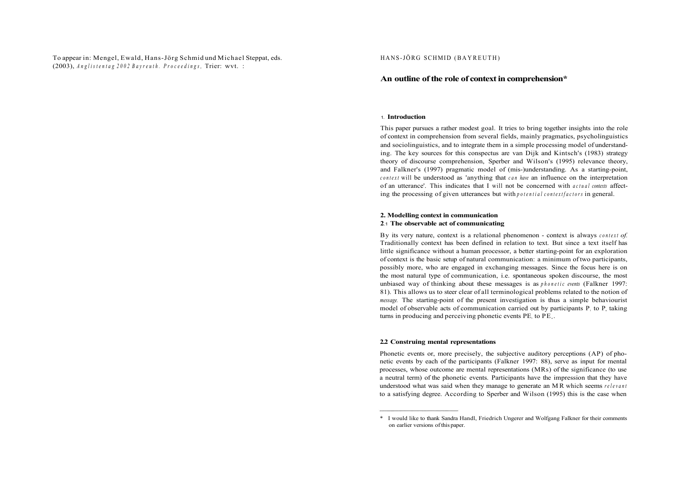# To appear in: Mengel, Ewald, Hans-Jörg Schmid und Michael Steppat, eds. (2003), *Anglistenta g 200 2 Bayreuth . Proceedings ,* Trier: wvt. :

### HANS-JÖRG SCHMID (BAYREUTH)

# **An outline of the role of context in comprehension\***

### **1. Introduction**

This paper pursues a rather modest goal. It tries to bring together insights into the role of context in comprehension from several fields, mainly pragmatics, psycholinguistics and sociolinguistics, and to integrate them in a simple processing model of understanding. The key sources for this conspectus are van Dijk and Kintsch's (1983) strategy theory of discourse comprehension, Sperber and Wilson's (1995) relevance theory, and Falkner's (1997) pragmatic model of (mis-)understanding. As a starting-point, *contex <sup>t</sup>* will be understood as 'anything that *ca n have* an influence on the interpretation of an utterance'. This indicates that I will not be concerned with *actua l contexts* affecting the processing of given utterances but with *potential contextfactors* in general.

### **2. Modelling context in communication 2.1 The observable act of communicating**

By its very nature, context is a relational phenomenon - context is always *contex t of.*  Traditionally context has been defined in relation to text. But since a text itself has little significance without a human processor, a better starting-point for an exploration of context is the basic setup of natural communication: a minimum of two participants, possibly more, who are engaged in exchanging messages. Since the focus here is on the most natural type of communication, i.e. spontaneous spoken discourse, the most unbiased way of thinking about these messages is as *phoneti c events* (Falkner 1997: 81). This allows us to steer clear of all terminological problems related to the notion of *message.* The starting-point of the present investigation is thus a simple behaviourist model of observable acts of communication carried out by participants  $P_i$  to  $P_i$  taking turns in producing and perceiving phonetic events PE, to PE.

### **2.2 Construing mental representations**

Phonetic events or, more precisely, the subjective auditory perceptions (AP) of phonetic events by each of the participants (Falkner 1997: 88), serve as input for mental processes, whose outcome are mental representations (MRs) of the significance (to use a neutral term) of the phonetic events. Participants have the impression that they have understood what was said when they manage to generate an M R which seems *relevan <sup>t</sup>* to a satisfying degree. According to Sperber and Wilson (1995) this is the case when

<sup>\*</sup> I would like to thank Sandra Handl, Friedrich Ungerer and Wolfgang Falkner for their comments on earlier versions of this paper.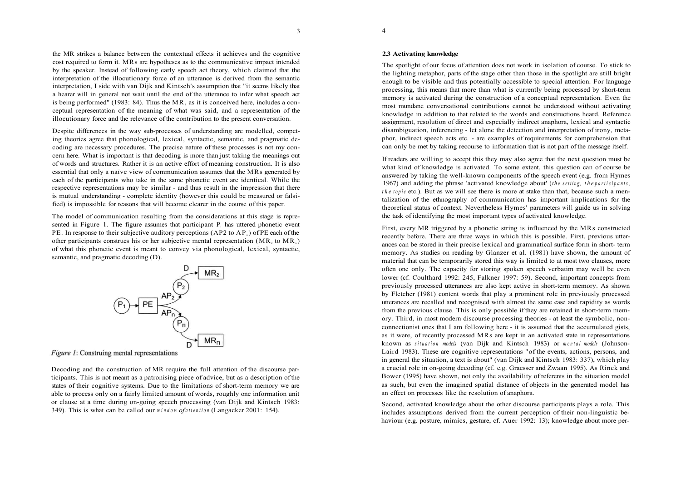3

the MR strikes a balance between the contextual effects it achieves and the cognitive cost required to form it. MRs are hypotheses as to the communicative impact intended by the speaker. Instead of following early speech act theory, which claimed that the interpretation of the illocutionary force of an utterance is derived from the semantic interpretation, I side with van Dijk and Kintsch's assumption that "it seems likely that a hearer will in general not wait until the end of the utterance to infer what speech act is being performed" (1983: 84). Thus the MR, as it is conceived here, includes a conceptual representation of the meaning of what was said, and a representation of the illocutionary force and the relevance of the contribution to the present conversation.

Despite differences in the way sub-processes of understanding are modelled, competing theories agree that phonological, lexical, syntactic, semantic, and pragmatic decoding are necessary procedures. The precise nature of these processes is not my concern here. What is important is that decoding is more than just taking the meanings out of words and structures. Rather it is an active effort of meaning construction. It is also essential that only a naïve view of communication assumes that the MRs generated by each of the participants who take in the same phonetic event are identical. While the respective representations may be similar - and thus result in the impression that there is mutual understanding - complete identity (however this could be measured or falsified) is impossible for reasons that will become clearer in the course of this paper.

The model of communication resulting from the considerations at this stage is represented in Figure 1. The figure assumes that participant  $P_1$  has uttered phonetic event PE. In response to their subjective auditory perceptions  $(AP2$  to  $AP<sub>n</sub>$ ) of PE each of the other participants construes his or her subjective mental representation  $(MR, to MR)$ of what this phonetic event is meant to convey via phonological, lexical, syntactic, semantic, and pragmatic decoding (D).



*Figure 1:* Construing mental representations

Decoding and the construction of MR require the full attention of the discourse participants. This is not meant as a patronising piece of advice, but as a description of the states of their cognitive systems. Due to the limitations of short-term memory we are able to process only on a fairly limited amount of words, roughly one information unit or clause at a time during on-going speech processing (van Dijk and Kintsch 1983: 349). This is what can be called our *windo w of attentio <sup>n</sup>* (Langacker 2001: 154).

### **2.3 Activating knowledge**

The spotlight of our focus of attention does not work in isolation of course. To stick to the lighting metaphor, parts of the stage other than those in the spotlight are still bright enough to be visible and thus potentially accessible to special attention. For language processing, this means that more than what is currently being processed by short-term memory is activated during the construction of a conceptual representation. Even the most mundane conversational contributions cannot be understood without activating knowledge in addition to that related to the words and constructions heard. Reference assignment, resolution of direct and especially indirect anaphora, lexical and syntactic disambiguation, inferencing - let alone the detection and interpretation of irony, metaphor, indirect speech acts etc. - are examples of requirements for comprehension that can only be met by taking recourse to information that is not part of the message itself.

If readers are willing to accept this they may also agree that the next question must be what kind of knowledge is activated. To some extent, this question can of course be answered by taking the well-known components of the speech event (e.g. from Hymes 1967) and adding the phrase 'activated knowledge about' (*the setting , th e participants , the topic* etc.). But as we will see there is more at stake than that, because such a mentalization of the ethnography of communication has important implications for the theoretical status of context. Nevertheless Hymes' parameters will guide us in solving the task of identifying the most important types of activated knowledge.

First, every MR triggered by a phonetic string is influenced by the MRs constructed recently before. There are three ways in which this is possible. First, previous utterances can be stored in their precise lexical and grammatical surface form in short- term memory. As studies on reading by Glanzer et al. (1981) have shown, the amount of material that can be temporarily stored this way is limited to at most two clauses, more often one only. The capacity for storing spoken speech verbatim may well be even lower (cf. Coulthard 1992: 245, Falkner 1997: 59). Second, important concepts from previously processed utterances are also kept active in short-term memory. As shown by Fletcher (1981) content words that play a prominent role in previously processed utterances are recalled and recognised with almost the same ease and rapidity as words from the previous clause. This is only possible if they are retained in short-term memory. Third, in most modern discourse processing theories - at least the symbolic, nonconnectionist ones that I am following here - it is assumed that the accumulated gists, as it were, of recently processed MRs are kept in an activated state in representations known as *situatio n models* (van Dijk and Kintsch 1983) or *menta l models* (Johnson-Laird 1983). These are cognitive representations "of the events, actions, persons, and in general the situation, a text is about" (van Dijk and Kintsch 1983: 337), which play a crucial role in on-going decoding (cf. e.g. Graesser and Zwaan 1995). As Rinck and Bower (1995) have shown, not only the availability of referents in the situation model as such, but even the imagined spatial distance of objects in the generated model has an effect on processes like the resolution of anaphora.

Second, activated knowledge about the other discourse participants plays a role. This includes assumptions derived from the current perception of their non-linguistic behaviour (e.g. posture, mimics, gesture, cf. Auer 1992: 13); knowledge about more per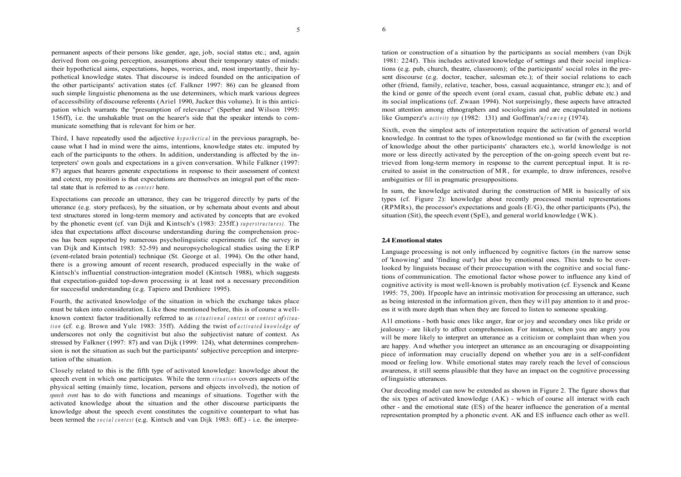permanent aspects of their persons like gender, age, job, social status etc.; and, again derived from on-going perception, assumptions about their temporary states of minds: their hypothetical aims, expectations, hopes, worries, and, most importantly, their hypothetical knowledge states. That discourse is indeed founded on the anticipation of the other participants' activation states (cf. Falkner 1997: 86) can be gleaned from such simple linguistic phenomena as the use determiners, which mark various degrees of accessibility of discourse referents (Ariel 1990, Jucker this volume). It is this anticipation which warrants the "presumption of relevance" (Sperber and Wilson 1995: 156ff), i.e. the unshakable trust on the hearer's side that the speaker intends to communicate something that is relevant for him or her.

Third, I have repeatedly used the adjective *hypothetica <sup>l</sup>* in the previous paragraph, because what I had in mind were the aims, intentions, knowledge states etc. imputed by each of the participants to the others. In addition, understanding is affected by the interpreters' own goals and expectations in a given conversation. While Falkner (1997: 87) argues that hearers generate expectations in response to their assessment of context and cotext, my position is that expectations are themselves an integral part of the mental state that is referred to as *context* here.

Expectations can precede an utterance, they can be triggered directly by parts of the utterance (e.g. story prefaces), by the situation, or by schemata about events and about text structures stored in long-term memory and activated by concepts that are evoked by the phonetic event (cf. van Dijk and Kintsch's (1983: 235ff.) *superstructures) .* The idea that expectations affect discourse understanding during the comprehension process has been supported by numerous psycholinguistic experiments (cf. the survey in van Dijk and Kintsch 1983: 52-59) and neuropsychological studies using the ERP (event-related brain potential) technique (St. George et al. 1994). On the other hand, there is a growing amount of recent research, produced especially in the wake of Kintsch's influential construction-integration model (Kintsch 1988), which suggests that expectation-guided top-down processing is at least not a necessary precondition for successful understanding (e.g. Tapiero and Denhiere 1995).

Fourth, the activated knowledge of the situation in which the exchange takes place must be taken into consideration. Like those mentioned before, this is of course a wellknown context factor traditionally referred to as *situationa l contex <sup>t</sup>* or *contex t of situa tio <sup>n</sup>* (cf. e.g. Brown and Yule 1983: 35ff). Adding the twist of *activate d knowledg e of*  underscores not only the cognitivist but also the subjectivist nature of context. As stressed by Falkner (1997: 87) and van Dijk (1999: 124), what determines comprehension is not the situation as such but the participants' subjective perception and interpretation of the situation.

Closely related to this is the fifth type of activated knowledge: knowledge about the speech event in which one participates. While the term *situatio <sup>n</sup>* covers aspects of the physical setting (mainly time, location, persons and objects involved), the notion of *speech event* has to do with functions and meanings of situations. Together with the activated knowledge about the situation and the other discourse participants the knowledge about the speech event constitutes the cognitive counterpart to what has been termed the *socia l contex <sup>t</sup>* (e.g. Kintsch and van Dijk 1983: 6ff.) - i.e. the interpretation or construction of a situation by the participants as social members (van Dijk 1981: 224f). This includes activated knowledge of settings and their social implications (e.g. pub, church, theatre, classroom); of the participants' social roles in the present discourse (e.g. doctor, teacher, salesman etc.); of their social relations to each other (friend, family, relative, teacher, boss, casual acquaintance, stranger etc.); and of the kind or genre of the speech event (oral exam, casual chat, public debate etc.) and its social implications (cf. Zwaan 1994). Not surprisingly, these aspects have attracted most attention among ethnographers and sociologists and are encapsulated in notions like Gumperz's *activity type* (1982: 131) and Goffman's *framing* (1974).

Sixth, even the simplest acts of interpretation require the activation of general world knowledge. In contrast to the types of knowledge mentioned so far (with the exception of knowledge about the other participants' characters etc.), world knowledge is not more or less directly activated by the perception of the on-going speech event but retrieved from long-term memory in response to the current perceptual input. It is recruited to assist in the construction of MR, for example, to draw inferences, resolve ambiguities or fill in pragmatic presuppositions.

In sum, the knowledge activated during the construction of MR is basically of six types (cf. Figure 2): knowledge about recently processed mental representations  $(RPMRs)$ , the processor's expectations and goals  $(E/G)$ , the other participants  $(Ps)$ , the situation (Sit), the speech event (SpE), and general world knowledge (WK).

# **2.4 Emotional states**

Language processing is not only influenced by cognitive factors (in the narrow sense of 'knowing' and 'finding out') but also by emotional ones. This tends to be overlooked by linguists because of their preoccupation with the cognitive and social functions of communication. The emotional factor whose power to influence any kind of cognitive activity is most well-known is probably motivation (cf. Eysenck and Keane 1995: 75, 200). If people have an intrinsic motivation for processing an utterance, such as being interested in the information given, then they will pay attention to it and process it with more depth than when they are forced to listen to someone speaking.

A l l emotions - both basic ones like anger, fear or joy and secondary ones like pride or jealousy - are likely to affect comprehension. For instance, when you are angry you will be more likely to interpret an utterance as a criticism or complaint than when you are happy. And whether you interpret an utterance as an encouraging or disappointing piece of information may crucially depend on whether you are in a self-confident mood or feeling low. While emotional states may rarely reach the level of conscious awareness, it still seems plausible that they have an impact on the cognitive processing of linguistic utterances.

Our decoding model can now be extended as shown in Figure 2. The figure shows that the six types of activated knowledge  $(AK)$  - which of course all interact with each other - and the emotional state (ES) of the hearer influence the generation of a mental representation prompted by a phonetic event. AK and ES influence each other as well.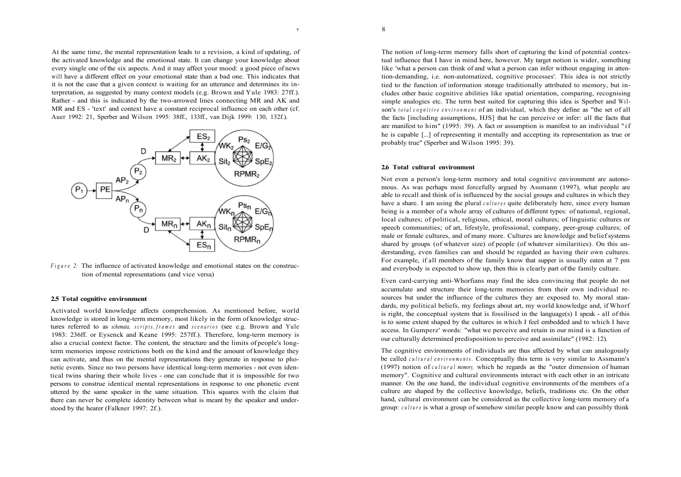At the same time, the mental representation leads to a revision, a kind of updating, of the activated knowledge and the emotional state. It can change your knowledge about every single one of the six aspects. And it may affect your mood: a good piece of news will have a different effect on your emotional state than a bad one. This indicates that it is not the case that a given context is waiting for an utterance and determines its interpretation, as suggested by many context models (e.g. Brown and Yule 1983: 27ff.). Rather - and this is indicated by the two-arrowed lines connecting MR and AK and MR and ES - 'text' and context have a constant reciprocal influence on each other (cf. Auer 1992: 21, Sperber and Wilson 1995: 38ff., 133ff., van Dijk 1999: 130, 132f.).



*Figure 2:* The influence of activated knowledge and emotional states on the construction of mental representations (and vice versa)

#### **2.5 Total cognitive environment**

Activated world knowledge affects comprehension. As mentioned before, world knowledge is stored in long-term memory, most likely in the form of knowledge structures referred to as *schemata, scripts , frame <sup>s</sup>* and *scenario <sup>s</sup>* (see e.g. Brown and Yule 1983: 236ff. or Eysenck and Keane 1995: 257ff.). Therefore, long-term memory is also a crucial context factor. The content, the structure and the limits of people's longterm memories impose restrictions both on the kind and the amount of knowledge they can activate, and thus on the mental representations they generate in response to phonetic events. Since no two persons have identical long-term memories - not even identical twins sharing their whole lives - one can conclude that it is impossible for two persons to construe identical mental representations in response to one phonetic event uttered by the same speaker in the same situation. This squares with the claim that there can never be complete identity between what is meant by the speaker and understood by the hearer (Falkner 1997: 2f.).

The notion of long-term memory falls short of capturing the kind of potential contextual influence that I have in mind here, however. My target notion is wider, something like 'what a person can think of and what a person can infer without engaging in attention-demanding, i.e. non-automatized, cognitive processes'. This idea is not strictly tied to the function of information storage traditionally attributed to memory, but includes other basic cognitive abilities like spatial orientation, comparing, recognising simple analogies etc. The term best suited for capturing this idea is Sperber and Wilson's *tota l cognitiv e environmen <sup>t</sup>* of an individual, which they define as "the set of all

the facts [including assumptions, HJS] that he can perceive or infer: all the facts that are manifest to him" (1995: 39). A fact or assumption is manifest to an individual "if he is capable [...] of representing it mentally and accepting its representation as true or probably true" (Sperber and Wilson 1995: 39).

#### **2.6 Total cultural environment**

Not even a person's long-term memory and total cognitive environment are autonomous. As was perhaps most forcefully argued by Assmann (1997), what people are able to recall and think of is influenced by the social groups and cultures in which they have a share. I am using the plural *cultures* quite deliberately here, since every human being is a member of a whole array of cultures of different types: of national, regional, local cultures; of political, religious, ethical, moral cultures; of linguistic cultures or speech communities; of art, lifestyle, professional, company, peer-group cultures; of male or female cultures, and of many more. Cultures are knowledge and belief systems shared by groups (of whatever size) of people (of whatever similarities). On this understanding, even families can and should be regarded as having their own cultures. For example, if all members of the family know that supper is usually eaten at 7 pm and everybody is expected to show up, then this is clearly part of the family culture.

Even card-carrying anti-Whorfians may find the idea convincing that people do not accumulate and structure their long-term memories from their own individual resources but under the influence of the cultures they are exposed to. My moral standards, my political beliefs, my feelings about art, my world knowledge and, if Whorf is right, the conceptual system that is fossilised in the language(s) I speak - all of this is to some extent shaped by the cultures in which I feel embedded and to which I have access. In Gumperz' words: "what we perceive and retain in our mind is a function of our culturally determined predisposition to perceive and assimilate" (1982: 12).

The cognitive environments of individuals are thus affected by what can analogously be called *cultura l environments .* Conceptually this term is very similar to Assmann's (1997) notion of *cultura l memory,* which he regards as the "outer dimension of human memory". Cognitive and cultural environments interact with each other in an intricate manner. On the one hand, the individual cognitive environments of the members of a culture are shaped by the collective knowledge, beliefs, traditions etc. On the other hand, cultural environment can be considered as the collective long-term memory of a group: *culture* is what a group of somehow similar people know and can possibly think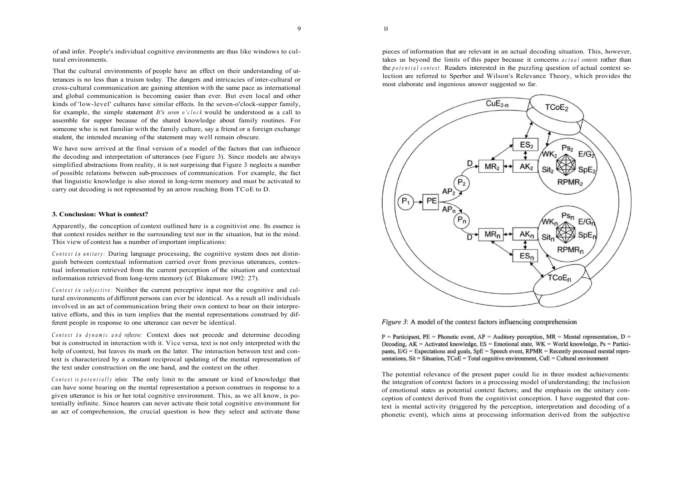of and infer. People's individual cognitive environments are thus like windows to cultural environments.

That the cultural environments of people have an effect on their understanding of utterances is no less than a truism today. The dangers and intricacies of inter-cultural or cross-cultural communication are gaining attention with the same pace as international and global communication is becoming easier than ever. But even local and other kinds of 'low-level' cultures have similar effects. In the seven-o'clock-supper family, for example, the simple statement *It's seven o'clock* would be understood as a call to assemble for supper because of the shared knowledge about family routines. For someone who is not familiar with the family culture, say a friend or a foreign exchange student, the intended meaning of the statement may well remain obscure.

We have now arrived at the final version of a model of the factors that can influence the decoding and interpretation of utterances (see Figure 3). Since models are always simplified abstractions from reality, it is not surprising that Figure 3 neglects a number of possible relations between sub-processes of communication. For example, the fact that linguistic knowledge is also stored in long-term memory and must be activated to carry out decoding is not represented by an arrow reaching from TCoE to D.

# **3. Conclusion: What is context?**

Apparently, the conception of context outlined here is a cognitivist one. Its essence is that context resides neither in the surrounding text nor in the situation, but in the mind. This view of context has a number of important implications:

*Context is unitary:* During language processing, the cognitive system does not distinguish between contextual information carried over from previous utterances, contextual information retrieved from the current perception of the situation and contextual information retrieved from long-term memory (cf. Blakemore 1992: 27).

*Context is subjective:* Neither the current perceptive input nor the cognitive and cultural environments of different persons can ever be identical. As a result all individuals involved in an act of communication bring their own context to bear on their interpretative efforts, and this in turn implies that the mental representations construed by different people in response to one utterance can never be identical.

*Context is dynamic and reflexive:* Context does not precede and determine decoding but is constructed in interaction with it. Vice versa, text is not only interpreted with the help of context, but leaves its mark on the latter. The interaction between text and context is characterized by a constant reciprocal updating of the mental representation of the text under construction on the one hand, and the context on the other.

*Contex t is potentiall y infinite:* The only limit to the amount or kind of knowledge that can have some bearing on the mental representation a person construes in response to a given utterance is his or her total cognitive environment. This, as we all know, is potentially infinite. Since hearers can never activate their total cognitive environment for an act of comprehension, the crucial question is how they select and activate those

pieces of information that are relevant in an actual decoding situation. This, however, takes us beyond the limits of this paper because it concerns *actual contexts* rather than the *potentia l context .* Readers interested in the puzzling question of actual context selection are referred to Sperber and Wilson's Relevance Theory, which provides the most elaborate and ingenious answer suggested so far.



Figure 3: A model of the context factors influencing comprehension

 $P =$  Participant, PE = Phonetic event, AP = Auditory perception, MR = Mental representation, D = Decoding,  $AK =$  Activated knowledge,  $ES =$  Emotional state,  $WK =$  World knowledge,  $Ps =$  Participants,  $E/G =$  Expectations and goals,  $SpE =$  Speech event,  $RPMR =$  Recently processed mental representations,  $\text{Sit} = \text{Situation}$ ,  $\text{TCOE} = \text{Total cognitive environment}$ ,  $\text{CuE} = \text{Cultural environment}$ 

The potential relevance of the present paper could lie in three modest achievements: the integration of context factors in a processing model of understanding; the inclusion of emotional states as potential context factors; and the emphasis on the unitary conception of context derived from the cognitivist conception. I have suggested that context is mental activity (triggered by the perception, interpretation and decoding of a phonetic event), which aims at processing information derived from the subjective